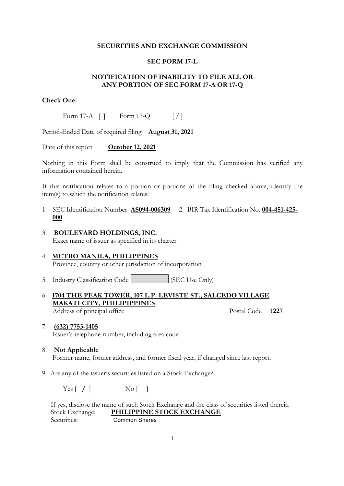### **SECURITIES AND EXCHANGE COMMISSION**

## **SEC FORM 17-L**

# **NOTIFICATION OF INABILITY TO FILE ALL OR ANY PORTION OF SEC FORM 17-A OR 17-Q**

### **Check One:**

Form 17-A  $\begin{bmatrix} 1 \\ 1 \end{bmatrix}$  Form 17-Q  $\begin{bmatrix} 1 \\ 1 \end{bmatrix}$ 

Period-Ended Date of required filing **August 31, 2021**

Date of this report **October 12, 2021** 

Nothing in this Form shall be construed to imply that the Commission has verified any information contained herein.

If this notification relates to a portion or portions of the filing checked above, identify the item(s) to which the notification relates:

- 1. SEC Identification Number **AS094-006309** 2. BIR Tax Identification No. **004-451-425- 000**
- 3. **BOULEVARD HOLDINGS, INC.** Exact name of issuer as specified in its charter

# 4. **METRO MANILA, PHILIPPINES** Province, country or other jurisdiction of incorporation

- 5. Industry Classification Code  $\left| \right|$  (SEC Use Only)
- 6. **1704 THE PEAK TOWER, 107 L.P. LEVISTE ST., SALCEDO VILLAGE MAKATI CITY, PHILIPIPPINES**  Address of principal office Postal Code **1227**

- 7. **(632) 7753-1405** Issuer's telephone number, including area code
- 8. **Not Applicable** Former name, former address, and former fiscal year, if changed since last report.
- 9. Are any of the issuer's securities listed on a Stock Exchange?

Yes [ **/** ] No [ ]

 If yes, disclose the name of such Stock Exchange and the class of securities listed therein Stock Exchange: **PHILIPPINE STOCK EXCHANGE** Securities: Common Shares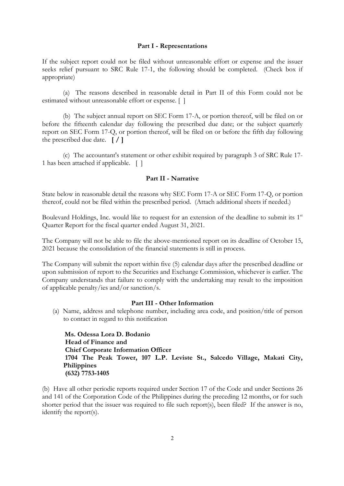#### **Part I - Representations**

If the subject report could not be filed without unreasonable effort or expense and the issuer seeks relief pursuant to SRC Rule 17-1, the following should be completed. (Check box if appropriate)

(a) The reasons described in reasonable detail in Part II of this Form could not be estimated without unreasonable effort or expense. [ ]

(b) The subject annual report on SEC Form 17-A, or portion thereof, will be filed on or before the fifteenth calendar day following the prescribed due date; or the subject quarterly report on SEC Form 17-Q, or portion thereof, will be filed on or before the fifth day following the prescribed due date. **[ / ]**

(c) The accountant's statement or other exhibit required by paragraph 3 of SRC Rule 17- 1 has been attached if applicable. [ ]

#### **Part II - Narrative**

State below in reasonable detail the reasons why SEC Form 17-A or SEC Form 17-Q, or portion thereof, could not be filed within the prescribed period. (Attach additional sheets if needed.)

Boulevard Holdings, Inc. would like to request for an extension of the deadline to submit its  $1<sup>st</sup>$ Quarter Report for the fiscal quarter ended August 31, 2021.

The Company will not be able to file the above-mentioned report on its deadline of October 15, 2021 because the consolidation of the financial statements is still in process.

The Company will submit the report within five (5) calendar days after the prescribed deadline or upon submission of report to the Securities and Exchange Commission, whichever is earlier. The Company understands that failure to comply with the undertaking may result to the imposition of applicable penalty/ies and/or sanction/s.

### **Part III - Other Information**

(a) Name, address and telephone number, including area code, and position/title of person to contact in regard to this notification

 **Ms. Odessa Lora D. Bodanio Head of Finance and Chief Corporate Information Officer 1704 The Peak Tower, 107 L.P. Leviste St., Salcedo Village, Makati City, Philippines (632) 7753-1405**

(b) Have all other periodic reports required under Section 17 of the Code and under Sections 26 and 141 of the Corporation Code of the Philippines during the preceding 12 months, or for such shorter period that the issuer was required to file such report(s), been filed? If the answer is no, identify the report(s).